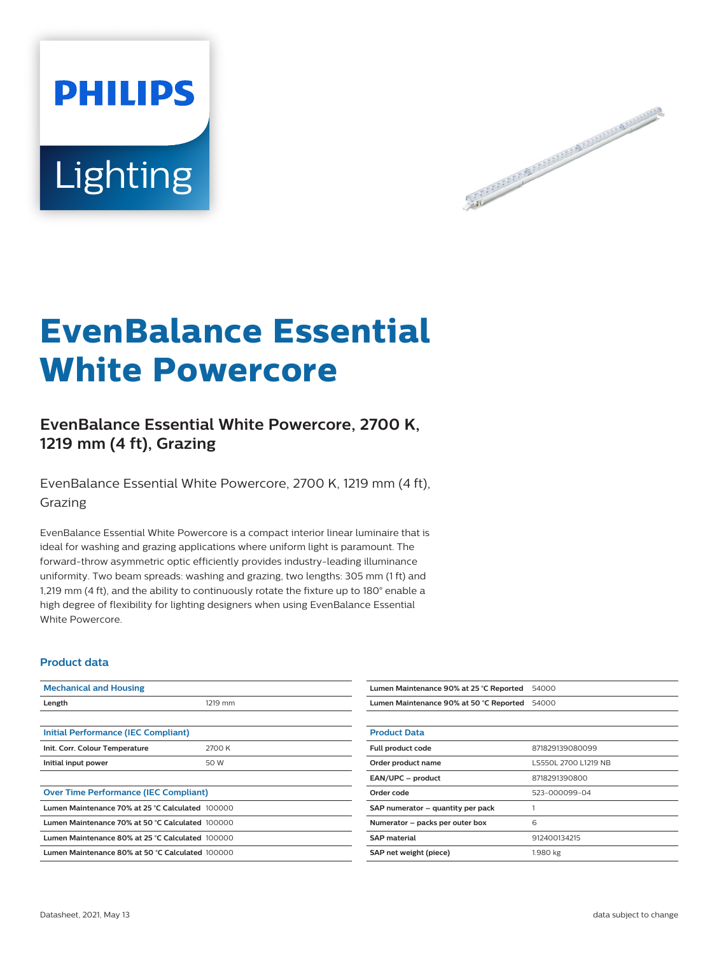



# **EvenBalance Essential White Powercore**

## **EvenBalance Essential White Powercore, 2700 K, 1219 mm (4 ft), Grazing**

EvenBalance Essential White Powercore, 2700 K, 1219 mm (4 ft), Grazing

EvenBalance Essential White Powercore is a compact interior linear luminaire that is ideal for washing and grazing applications where uniform light is paramount. The forward-throw asymmetric optic efficiently provides industry-leading illuminance uniformity. Two beam spreads: washing and grazing, two lengths: 305 mm (1 ft) and 1,219 mm (4 ft), and the ability to continuously rotate the fixture up to 180° enable a high degree of flexibility for lighting designers when using EvenBalance Essential White Powercore.

#### **Product data**

| <b>Mechanical and Housing</b>                    |         | Lumen Maintenance 90% at 25 °C Reported | 54000                |
|--------------------------------------------------|---------|-----------------------------------------|----------------------|
| Length                                           | 1219 mm | Lumen Maintenance 90% at 50 °C Reported | 54000                |
|                                                  |         |                                         |                      |
| Initial Performance (IEC Compliant)              |         | <b>Product Data</b>                     |                      |
| Init. Corr. Colour Temperature                   | 2700 K  | Full product code                       | 871829139080099      |
| Initial input power                              | 50 W    | Order product name                      | LS550L 2700 L1219 NB |
|                                                  |         | EAN/UPC - product                       | 8718291390800        |
| <b>Over Time Performance (IEC Compliant)</b>     |         | Order code                              | 523-000099-04        |
| Lumen Maintenance 70% at 25 °C Calculated 100000 |         | SAP numerator - quantity per pack       |                      |
| Lumen Maintenance 70% at 50 °C Calculated 100000 |         | Numerator - packs per outer box         | 6                    |
| Lumen Maintenance 80% at 25 °C Calculated 100000 |         | <b>SAP material</b>                     | 912400134215         |
| Lumen Maintenance 80% at 50 °C Calculated 100000 |         | SAP net weight (piece)                  | 1.980 kg             |
|                                                  |         |                                         |                      |